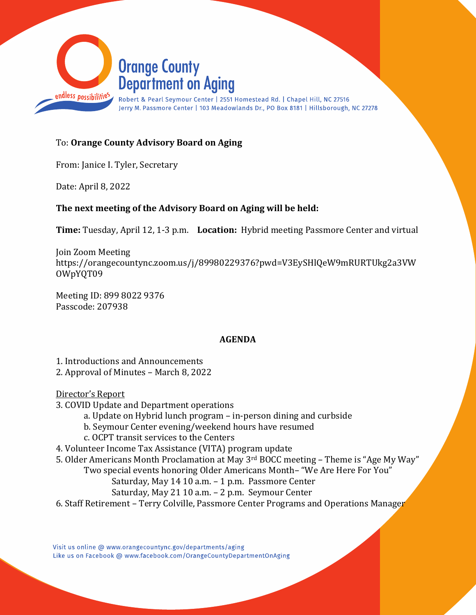

## To: Orange County Advisory Board on Aging

From: Janice I. Tyler, Secretary

Date: April 8, 2022

## The next meeting of the Advisory Board on Aging will be held:

Time: Tuesday, April 12, 1-3 p.m. Location: Hybrid meeting Passmore Center and virtual

Join Zoom Meeting https://orangecountync.zoom.us/j/89980229376?pwd=V3EySHlQeW9mRURTUkg2a3VW OWpYQT09

Meeting ID: 899 8022 9376 Passcode: 207938

## AGENDA

1. Introductions and Announcements 2. Approval of Minutes – March 8, 2022

Director's Report

- 3. COVID Update and Department operations
	- a. Update on Hybrid lunch program in-person dining and curbside
	- b. Seymour Center evening/weekend hours have resumed
	- c. OCPT transit services to the Centers

4. Volunteer Income Tax Assistance (VITA) program update

- 5. Older Americans Month Proclamation at May 3rd BOCC meeting Theme is "Age My Way"
	- Two special events honoring Older Americans Month– "We Are Here For You"
		- Saturday, May 14 10 a.m. 1 p.m. Passmore Center
		- Saturday, May 21 10 a.m. 2 p.m. Seymour Center
- 6. Staff Retirement Terry Colville, Passmore Center Programs and Operations Manager

Visit us online @ www.orangecountync.gov/departments/aging Like us on Facebook @ www.facebook.com/OrangeCountyDepartmentOnAging